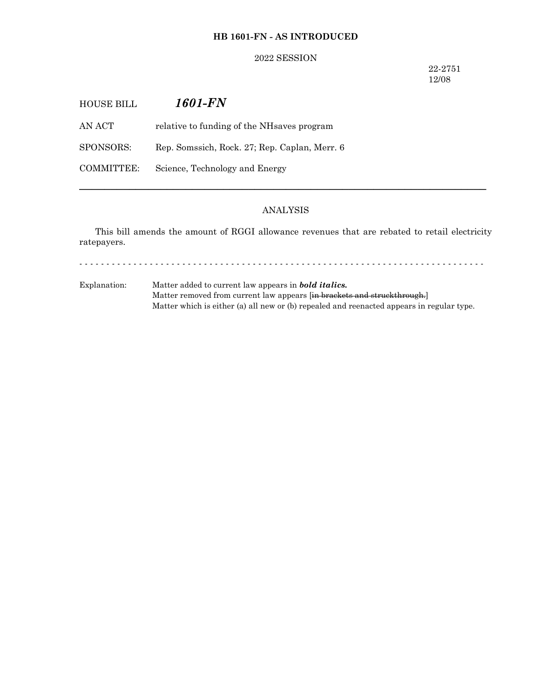# **HB 1601-FN - AS INTRODUCED**

## 2022 SESSION

22-2751 12/08

| HOUSE BILL | 1601-FN                                       |
|------------|-----------------------------------------------|
| AN ACT     | relative to funding of the NH saves program   |
| SPONSORS:  | Rep. Somssich, Rock. 27; Rep. Caplan, Merr. 6 |
| COMMITTEE: | Science, Technology and Energy                |
|            |                                               |

# ANALYSIS

─────────────────────────────────────────────────────────────────

This bill amends the amount of RGGI allowance revenues that are rebated to retail electricity ratepayers.

- - - - - - - - - - - - - - - - - - - - - - - - - - - - - - - - - - - - - - - - - - - - - - - - - - - - - - - - - - - - - - - - - - - - - - - - - - -

Explanation: Matter added to current law appears in *bold italics.* Matter removed from current law appears [in brackets and struckthrough.] Matter which is either (a) all new or (b) repealed and reenacted appears in regular type.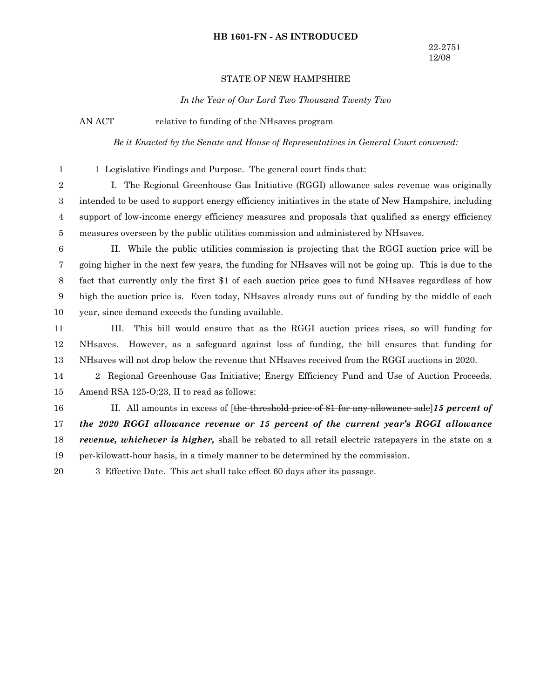### **HB 1601-FN - AS INTRODUCED**

## STATE OF NEW HAMPSHIRE

*In the Year of Our Lord Two Thousand Twenty Two*

AN ACT relative to funding of the NHsaves program

*Be it Enacted by the Senate and House of Representatives in General Court convened:*

1

1 Legislative Findings and Purpose. The general court finds that:

I. The Regional Greenhouse Gas Initiative (RGGI) allowance sales revenue was originally intended to be used to support energy efficiency initiatives in the state of New Hampshire, including support of low-income energy efficiency measures and proposals that qualified as energy efficiency measures overseen by the public utilities commission and administered by NHsaves. 2 3 4 5

II. While the public utilities commission is projecting that the RGGI auction price will be going higher in the next few years, the funding for NHsaves will not be going up. This is due to the fact that currently only the first \$1 of each auction price goes to fund NHsaves regardless of how high the auction price is. Even today, NHsaves already runs out of funding by the middle of each year, since demand exceeds the funding available. 6 7 8 9 10

III. This bill would ensure that as the RGGI auction prices rises, so will funding for NHsaves. However, as a safeguard against loss of funding, the bill ensures that funding for NHsaves will not drop below the revenue that NHsaves received from the RGGI auctions in 2020. 11 12 13

2 Regional Greenhouse Gas Initiative; Energy Efficiency Fund and Use of Auction Proceeds. Amend RSA 125-O:23, II to read as follows: 14 15

II. All amounts in excess of [the threshold price of \$1 for any allowance sale]*15 percent of the 2020 RGGI allowance revenue or 15 percent of the current year's RGGI allowance revenue, whichever is higher,* shall be rebated to all retail electric ratepayers in the state on a per-kilowatt-hour basis, in a timely manner to be determined by the commission. 16 17 18 19

3 Effective Date. This act shall take effect 60 days after its passage. 20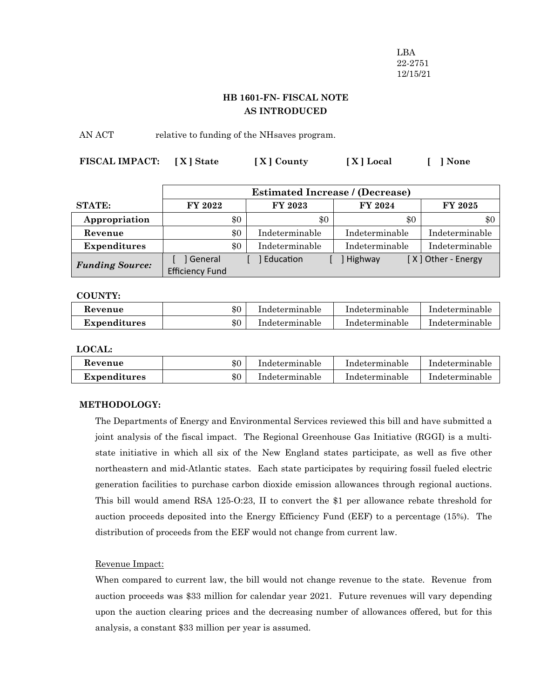LBA 22-2751 12/15/21

# **HB 1601-FN- FISCAL NOTE AS INTRODUCED**

AN ACT relative to funding of the NHsaves program.

| FISCAL IMPACT: [X] State | [X] County | [X] Local | [ ] None |  |
|--------------------------|------------|-----------|----------|--|
|                          |            |           |          |  |

|                        | <b>Estimated Increase / (Decrease)</b> |     |                |                |                    |
|------------------------|----------------------------------------|-----|----------------|----------------|--------------------|
| <b>STATE:</b>          | <b>FY 2022</b>                         |     | FY 2023        | FY 2024        | <b>FY 2025</b>     |
| Appropriation          |                                        | \$0 | \$0            | \$0            | \$0                |
| Revenue                |                                        | \$0 | Indeterminable | Indeterminable | Indeterminable     |
| <b>Expenditures</b>    |                                        | \$0 | Indeterminable | Indeterminable | Indeterminable     |
| <b>Funding Source:</b> | ] General<br><b>Efficiency Fund</b>    |     | Education      | ] Highway      | [X] Other - Energy |

**COUNTY:**

| Revenue             | $\$0$ | Indeterminable | Indeterminable | Indeterminable |
|---------------------|-------|----------------|----------------|----------------|
| <b>Expenditures</b> | $\$0$ | Indeterminable | Indeterminable | Indeterminable |

**LOCAL:**

| Revenue             | \$0 | Indeterminable | Indeterminable | Indeterminable |
|---------------------|-----|----------------|----------------|----------------|
| <b>Expenditures</b> | \$0 | Indeterminable | Indeterminable | Indeterminable |

# **METHODOLOGY:**

The Departments of Energy and Environmental Services reviewed this bill and have submitted a joint analysis of the fiscal impact. The Regional Greenhouse Gas Initiative (RGGI) is a multistate initiative in which all six of the New England states participate, as well as five other northeastern and mid-Atlantic states. Each state participates by requiring fossil fueled electric generation facilities to purchase carbon dioxide emission allowances through regional auctions. This bill would amend RSA 125-O:23, II to convert the \$1 per allowance rebate threshold for auction proceeds deposited into the Energy Efficiency Fund (EEF) to a percentage (15%). The distribution of proceeds from the EEF would not change from current law.

## Revenue Impact:

When compared to current law, the bill would not change revenue to the state. Revenue from auction proceeds was \$33 million for calendar year 2021. Future revenues will vary depending upon the auction clearing prices and the decreasing number of allowances offered, but for this analysis, a constant \$33 million per year is assumed.